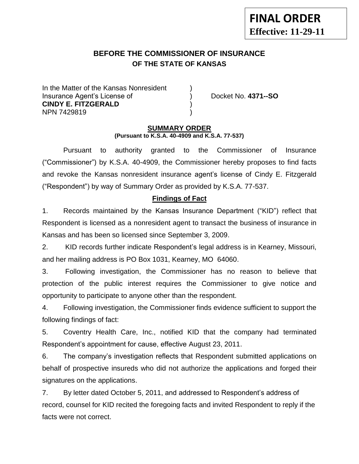## **BEFORE THE COMMISSIONER OF INSURANCE OF THE STATE OF KANSAS**

In the Matter of the Kansas Nonresident Insurance Agent's License of ) Docket No. **4371--SO CINDY E. FITZGERALD** ) NPN 7429819 )

**-11**

#### **SUMMARY ORDER (Pursuant to K.S.A. 40-4909 and K.S.A. 77-537)**

Pursuant to authority granted to the Commissioner of Insurance ("Commissioner") by K.S.A. 40-4909, the Commissioner hereby proposes to find facts and revoke the Kansas nonresident insurance agent's license of Cindy E. Fitzgerald ("Respondent") by way of Summary Order as provided by K.S.A. 77-537.

#### **Findings of Fact**

1. Records maintained by the Kansas Insurance Department ("KID") reflect that Respondent is licensed as a nonresident agent to transact the business of insurance in Kansas and has been so licensed since September 3, 2009.

2. KID records further indicate Respondent's legal address is in Kearney, Missouri, and her mailing address is PO Box 1031, Kearney, MO 64060.

3. Following investigation, the Commissioner has no reason to believe that protection of the public interest requires the Commissioner to give notice and opportunity to participate to anyone other than the respondent.

4. Following investigation, the Commissioner finds evidence sufficient to support the following findings of fact:

5. Coventry Health Care, Inc., notified KID that the company had terminated Respondent's appointment for cause, effective August 23, 2011.

6. The company's investigation reflects that Respondent submitted applications on behalf of prospective insureds who did not authorize the applications and forged their signatures on the applications.

7. By letter dated October 5, 2011, and addressed to Respondent's address of record, counsel for KID recited the foregoing facts and invited Respondent to reply if the facts were not correct.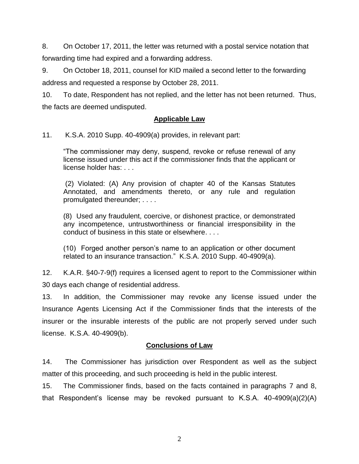8. On October 17, 2011, the letter was returned with a postal service notation that forwarding time had expired and a forwarding address.

9. On October 18, 2011, counsel for KID mailed a second letter to the forwarding address and requested a response by October 28, 2011.

10. To date, Respondent has not replied, and the letter has not been returned. Thus, the facts are deemed undisputed.

## **Applicable Law**

11. K.S.A. 2010 Supp. 40-4909(a) provides, in relevant part:

"The commissioner may deny, suspend, revoke or refuse renewal of any license issued under this act if the commissioner finds that the applicant or license holder has: . . .

(2) Violated: (A) Any provision of chapter 40 of the Kansas Statutes Annotated, and amendments thereto, or any rule and regulation promulgated thereunder; . . . .

(8) Used any fraudulent, coercive, or dishonest practice, or demonstrated any incompetence, untrustworthiness or financial irresponsibility in the conduct of business in this state or elsewhere. . . .

(10) Forged another person's name to an application or other document related to an insurance transaction." K.S.A. 2010 Supp. 40-4909(a).

12. K.A.R. §40-7-9(f) requires a licensed agent to report to the Commissioner within 30 days each change of residential address.

13. In addition, the Commissioner may revoke any license issued under the Insurance Agents Licensing Act if the Commissioner finds that the interests of the insurer or the insurable interests of the public are not properly served under such license. K.S.A. 40-4909(b).

### **Conclusions of Law**

14. The Commissioner has jurisdiction over Respondent as well as the subject matter of this proceeding, and such proceeding is held in the public interest.

15. The Commissioner finds, based on the facts contained in paragraphs 7 and 8, that Respondent's license may be revoked pursuant to K.S.A. 40-4909(a)(2)(A)

2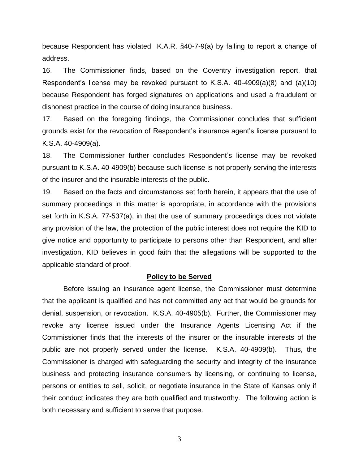because Respondent has violated K.A.R. §40-7-9(a) by failing to report a change of address.

16. The Commissioner finds, based on the Coventry investigation report, that Respondent's license may be revoked pursuant to K.S.A.  $40-4909(a)(8)$  and  $(a)(10)$ because Respondent has forged signatures on applications and used a fraudulent or dishonest practice in the course of doing insurance business.

17. Based on the foregoing findings, the Commissioner concludes that sufficient grounds exist for the revocation of Respondent's insurance agent's license pursuant to K.S.A. 40-4909(a).

18. The Commissioner further concludes Respondent's license may be revoked pursuant to K.S.A. 40-4909(b) because such license is not properly serving the interests of the insurer and the insurable interests of the public.

19. Based on the facts and circumstances set forth herein, it appears that the use of summary proceedings in this matter is appropriate, in accordance with the provisions set forth in K.S.A. 77-537(a), in that the use of summary proceedings does not violate any provision of the law, the protection of the public interest does not require the KID to give notice and opportunity to participate to persons other than Respondent, and after investigation, KID believes in good faith that the allegations will be supported to the applicable standard of proof.

#### **Policy to be Served**

Before issuing an insurance agent license, the Commissioner must determine that the applicant is qualified and has not committed any act that would be grounds for denial, suspension, or revocation. K.S.A. 40-4905(b). Further, the Commissioner may revoke any license issued under the Insurance Agents Licensing Act if the Commissioner finds that the interests of the insurer or the insurable interests of the public are not properly served under the license. K.S.A. 40-4909(b). Thus, the Commissioner is charged with safeguarding the security and integrity of the insurance business and protecting insurance consumers by licensing, or continuing to license, persons or entities to sell, solicit, or negotiate insurance in the State of Kansas only if their conduct indicates they are both qualified and trustworthy. The following action is both necessary and sufficient to serve that purpose.

3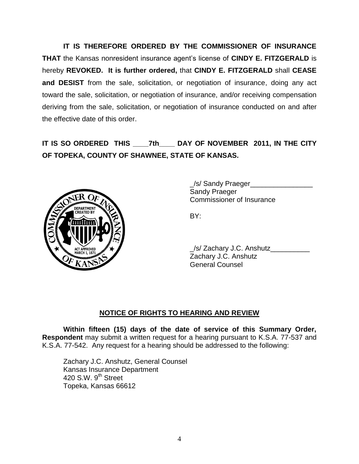**IT IS THEREFORE ORDERED BY THE COMMISSIONER OF INSURANCE THAT** the Kansas nonresident insurance agent's license of **CINDY E. FITZGERALD** is hereby **REVOKED. It is further ordered,** that **CINDY E. FITZGERALD** shall **CEASE and DESIST** from the sale, solicitation, or negotiation of insurance, doing any act toward the sale, solicitation, or negotiation of insurance, and/or receiving compensation deriving from the sale, solicitation, or negotiation of insurance conducted on and after the effective date of this order.

# **IT IS SO ORDERED THIS \_\_\_\_7th\_\_\_\_ DAY OF NOVEMBER 2011, IN THE CITY OF TOPEKA, COUNTY OF SHAWNEE, STATE OF KANSAS.**



\_/s/ Sandy Praeger\_\_\_\_\_\_\_\_\_\_\_\_\_\_\_\_ Sandy Praeger Commissioner of Insurance

BY:

| _/s/ Zachary J.C. Anshutz |  |
|---------------------------|--|
| Zachary J.C. Anshutz      |  |
| <b>General Counsel</b>    |  |

### **NOTICE OF RIGHTS TO HEARING AND REVIEW**

**Within fifteen (15) days of the date of service of this Summary Order, Respondent** may submit a written request for a hearing pursuant to K.S.A. 77-537 and K.S.A. 77-542. Any request for a hearing should be addressed to the following:

Zachary J.C. Anshutz, General Counsel Kansas Insurance Department 420 S.W.  $9<sup>th</sup>$  Street Topeka, Kansas 66612